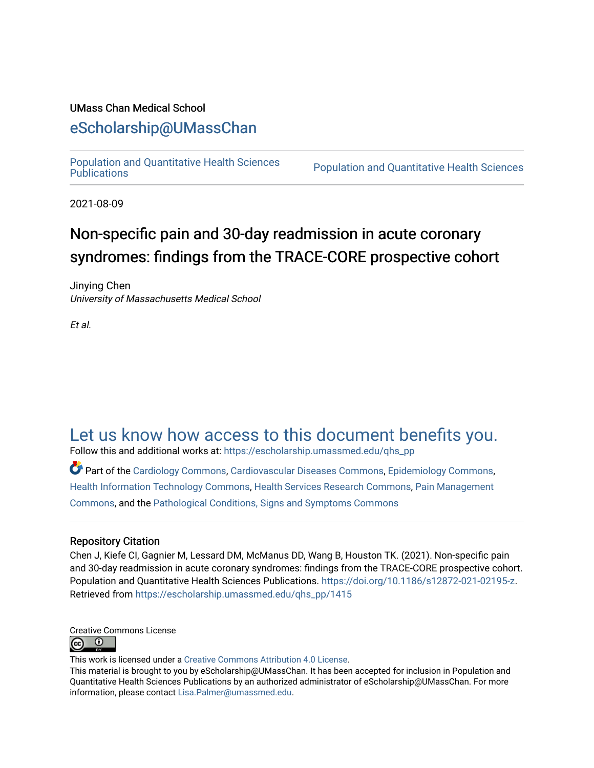## UMass Chan Medical School

## [eScholarship@UMassChan](https://escholarship.umassmed.edu/)

[Population and Quantitative Health Sciences](https://escholarship.umassmed.edu/qhs_pp) 

Population and Quantitative Health Sciences

2021-08-09

# Non-specific pain and 30-day readmission in acute coronary syndromes: findings from the TRACE-CORE prospective cohort

Jinying Chen University of Massachusetts Medical School

Et al.

# [Let us know how access to this document benefits you.](https://arcsapps.umassmed.edu/redcap/surveys/?s=XWRHNF9EJE)

Follow this and additional works at: [https://escholarship.umassmed.edu/qhs\\_pp](https://escholarship.umassmed.edu/qhs_pp?utm_source=escholarship.umassmed.edu%2Fqhs_pp%2F1415&utm_medium=PDF&utm_campaign=PDFCoverPages) 

Part of the [Cardiology Commons](http://network.bepress.com/hgg/discipline/683?utm_source=escholarship.umassmed.edu%2Fqhs_pp%2F1415&utm_medium=PDF&utm_campaign=PDFCoverPages), [Cardiovascular Diseases Commons,](http://network.bepress.com/hgg/discipline/929?utm_source=escholarship.umassmed.edu%2Fqhs_pp%2F1415&utm_medium=PDF&utm_campaign=PDFCoverPages) [Epidemiology Commons,](http://network.bepress.com/hgg/discipline/740?utm_source=escholarship.umassmed.edu%2Fqhs_pp%2F1415&utm_medium=PDF&utm_campaign=PDFCoverPages) [Health Information Technology Commons,](http://network.bepress.com/hgg/discipline/1239?utm_source=escholarship.umassmed.edu%2Fqhs_pp%2F1415&utm_medium=PDF&utm_campaign=PDFCoverPages) [Health Services Research Commons,](http://network.bepress.com/hgg/discipline/816?utm_source=escholarship.umassmed.edu%2Fqhs_pp%2F1415&utm_medium=PDF&utm_campaign=PDFCoverPages) [Pain Management](http://network.bepress.com/hgg/discipline/1274?utm_source=escholarship.umassmed.edu%2Fqhs_pp%2F1415&utm_medium=PDF&utm_campaign=PDFCoverPages) [Commons](http://network.bepress.com/hgg/discipline/1274?utm_source=escholarship.umassmed.edu%2Fqhs_pp%2F1415&utm_medium=PDF&utm_campaign=PDFCoverPages), and the [Pathological Conditions, Signs and Symptoms Commons](http://network.bepress.com/hgg/discipline/1004?utm_source=escholarship.umassmed.edu%2Fqhs_pp%2F1415&utm_medium=PDF&utm_campaign=PDFCoverPages) 

### Repository Citation

Chen J, Kiefe CI, Gagnier M, Lessard DM, McManus DD, Wang B, Houston TK. (2021). Non-specific pain and 30-day readmission in acute coronary syndromes: findings from the TRACE-CORE prospective cohort. Population and Quantitative Health Sciences Publications. [https://doi.org/10.1186/s12872-021-02195-z.](https://doi.org/10.1186/s12872-021-02195-z) Retrieved from [https://escholarship.umassmed.edu/qhs\\_pp/1415](https://escholarship.umassmed.edu/qhs_pp/1415?utm_source=escholarship.umassmed.edu%2Fqhs_pp%2F1415&utm_medium=PDF&utm_campaign=PDFCoverPages) 

Creative Commons License  $\odot$  $\circ$ 

This work is licensed under a [Creative Commons Attribution 4.0 License](http://creativecommons.org/licenses/by/4.0/).

This material is brought to you by eScholarship@UMassChan. It has been accepted for inclusion in Population and Quantitative Health Sciences Publications by an authorized administrator of eScholarship@UMassChan. For more information, please contact [Lisa.Palmer@umassmed.edu.](mailto:Lisa.Palmer@umassmed.edu)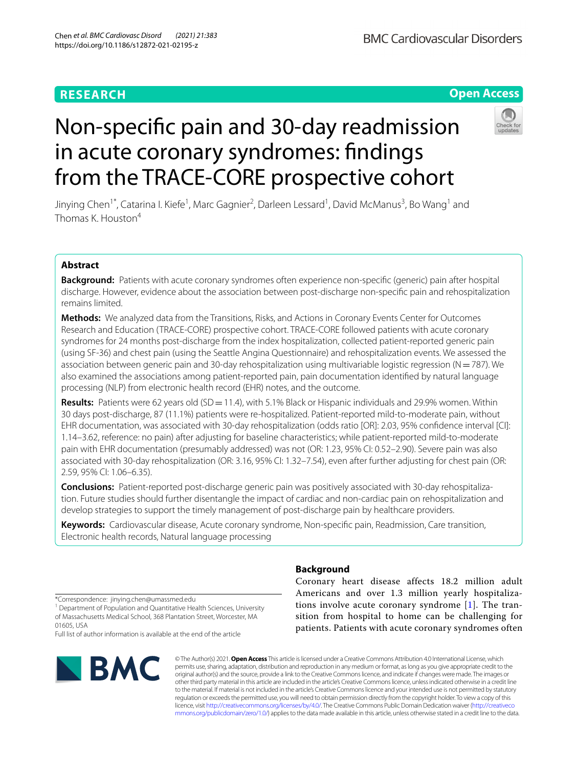## **Open Access**

# Non-specifc pain and 30-day readmission in acute coronary syndromes: fndings from the TRACE-CORE prospective cohort



Jinying Chen<sup>1\*</sup>, Catarina I. Kiefe<sup>1</sup>, Marc Gagnier<sup>2</sup>, Darleen Lessard<sup>1</sup>, David McManus<sup>3</sup>, Bo Wang<sup>1</sup> and Thomas K. Houston<sup>4</sup>

## **Abstract**

**Background:** Patients with acute coronary syndromes often experience non-specifc (generic) pain after hospital discharge. However, evidence about the association between post-discharge non-specifc pain and rehospitalization remains limited.

**Methods:** We analyzed data from the Transitions, Risks, and Actions in Coronary Events Center for Outcomes Research and Education (TRACE-CORE) prospective cohort. TRACE-CORE followed patients with acute coronary syndromes for 24 months post-discharge from the index hospitalization, collected patient-reported generic pain (using SF-36) and chest pain (using the Seattle Angina Questionnaire) and rehospitalization events. We assessed the association between generic pain and 30-day rehospitalization using multivariable logistic regression (N=787). We also examined the associations among patient-reported pain, pain documentation identifed by natural language processing (NLP) from electronic health record (EHR) notes, and the outcome.

**Results:** Patients were 62 years old (SD = 11.4), with 5.1% Black or Hispanic individuals and 29.9% women. Within 30 days post-discharge, 87 (11.1%) patients were re-hospitalized. Patient-reported mild-to-moderate pain, without EHR documentation, was associated with 30-day rehospitalization (odds ratio [OR]: 2.03, 95% confdence interval [CI]: 1.14–3.62, reference: no pain) after adjusting for baseline characteristics; while patient-reported mild-to-moderate pain with EHR documentation (presumably addressed) was not (OR: 1.23, 95% CI: 0.52–2.90). Severe pain was also associated with 30-day rehospitalization (OR: 3.16, 95% CI: 1.32–7.54), even after further adjusting for chest pain (OR: 2.59, 95% CI: 1.06–6.35).

**Conclusions:** Patient-reported post-discharge generic pain was positively associated with 30-day rehospitalization. Future studies should further disentangle the impact of cardiac and non-cardiac pain on rehospitalization and develop strategies to support the timely management of post-discharge pain by healthcare providers.

**Keywords:** Cardiovascular disease, Acute coronary syndrome, Non-specifc pain, Readmission, Care transition, Electronic health records, Natural language processing

\*Correspondence: jinying.chen@umassmed.edu

<sup>1</sup> Department of Population and Quantitative Health Sciences, University of Massachusetts Medical School, 368 Plantation Street, Worcester, MA 01605, USA

Full list of author information is available at the end of the article



## **Background**

Coronary heart disease affects 18.2 million adult Americans and over 1.3 million yearly hospitalizations involve acute coronary syndrome [[1](#page-10-0)]. The transition from hospital to home can be challenging for patients. Patients with acute coronary syndromes often

© The Author(s) 2021. **Open Access** This article is licensed under a Creative Commons Attribution 4.0 International License, which permits use, sharing, adaptation, distribution and reproduction in any medium or format, as long as you give appropriate credit to the original author(s) and the source, provide a link to the Creative Commons licence, and indicate if changes were made. The images or other third party material in this article are included in the article's Creative Commons licence, unless indicated otherwise in a credit line to the material. If material is not included in the article's Creative Commons licence and your intended use is not permitted by statutory regulation or exceeds the permitted use, you will need to obtain permission directly from the copyright holder. To view a copy of this licence, visit [http://creativecommons.org/licenses/by/4.0/.](http://creativecommons.org/licenses/by/4.0/) The Creative Commons Public Domain Dedication waiver ([http://creativeco](http://creativecommons.org/publicdomain/zero/1.0/) [mmons.org/publicdomain/zero/1.0/](http://creativecommons.org/publicdomain/zero/1.0/)) applies to the data made available in this article, unless otherwise stated in a credit line to the data.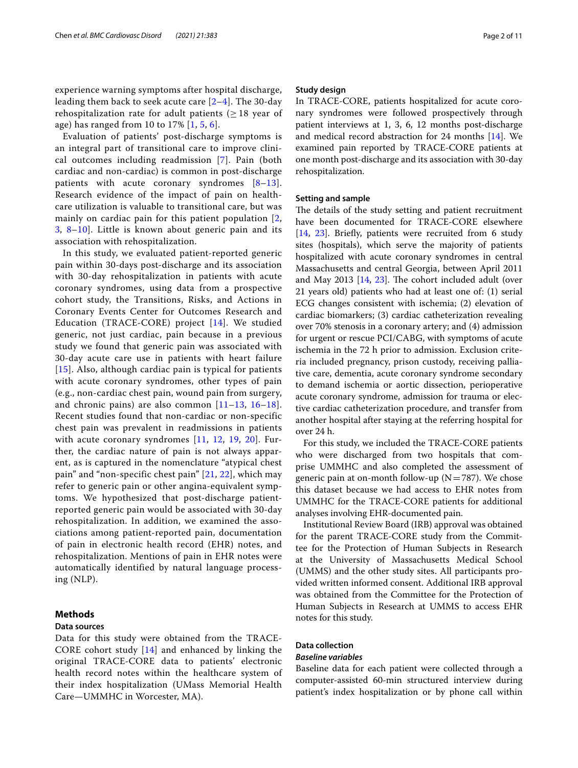experience warning symptoms after hospital discharge, leading them back to seek acute care  $[2-4]$  $[2-4]$  $[2-4]$ . The 30-day rehospitalization rate for adult patients ( $\geq$  18 year of age) has ranged from 10 to 17% [[1](#page-10-0), [5](#page-10-3), [6](#page-10-4)].

Evaluation of patients' post-discharge symptoms is an integral part of transitional care to improve clinical outcomes including readmission [[7](#page-10-5)]. Pain (both cardiac and non-cardiac) is common in post-discharge patients with acute coronary syndromes  $[8-13]$  $[8-13]$ . Research evidence of the impact of pain on healthcare utilization is valuable to transitional care, but was mainly on cardiac pain for this patient population [\[2](#page-10-1), [3,](#page-10-8) [8–](#page-10-6)[10](#page-10-9)]. Little is known about generic pain and its association with rehospitalization.

In this study, we evaluated patient-reported generic pain within 30-days post-discharge and its association with 30-day rehospitalization in patients with acute coronary syndromes, using data from a prospective cohort study, the Transitions, Risks, and Actions in Coronary Events Center for Outcomes Research and Education (TRACE-CORE) project [\[14\]](#page-10-10). We studied generic, not just cardiac, pain because in a previous study we found that generic pain was associated with 30-day acute care use in patients with heart failure [[15](#page-10-11)]. Also, although cardiac pain is typical for patients with acute coronary syndromes, other types of pain (e.g., non-cardiac chest pain, wound pain from surgery, and chronic pains) are also common  $[11-13, 16-18]$  $[11-13, 16-18]$  $[11-13, 16-18]$  $[11-13, 16-18]$ . Recent studies found that non-cardiac or non-specific chest pain was prevalent in readmissions in patients with acute coronary syndromes [[11,](#page-10-12) [12,](#page-10-15) [19](#page-10-16), [20\]](#page-10-17). Further, the cardiac nature of pain is not always apparent, as is captured in the nomenclature "atypical chest pain" and "non-specific chest pain" [\[21,](#page-10-18) [22\]](#page-10-19), which may refer to generic pain or other angina-equivalent symptoms. We hypothesized that post-discharge patientreported generic pain would be associated with 30-day rehospitalization. In addition, we examined the associations among patient-reported pain, documentation of pain in electronic health record (EHR) notes, and rehospitalization. Mentions of pain in EHR notes were automatically identified by natural language processing (NLP).

#### **Methods**

#### **Data sources**

Data for this study were obtained from the TRACE-CORE cohort study [[14](#page-10-10)] and enhanced by linking the original TRACE-CORE data to patients' electronic health record notes within the healthcare system of their index hospitalization (UMass Memorial Health Care—UMMHC in Worcester, MA).

#### **Study design**

In TRACE-CORE, patients hospitalized for acute coronary syndromes were followed prospectively through patient interviews at 1, 3, 6, 12 months post-discharge and medical record abstraction for 24 months [\[14\]](#page-10-10). We examined pain reported by TRACE-CORE patients at one month post-discharge and its association with 30-day rehospitalization.

#### **Setting and sample**

The details of the study setting and patient recruitment have been documented for TRACE-CORE elsewhere [[14,](#page-10-10) [23\]](#page-10-20). Briefy, patients were recruited from 6 study sites (hospitals), which serve the majority of patients hospitalized with acute coronary syndromes in central Massachusetts and central Georgia, between April 2011 and May 2013 [[14,](#page-10-10) [23](#page-10-20)]. The cohort included adult (over 21 years old) patients who had at least one of: (1) serial ECG changes consistent with ischemia; (2) elevation of cardiac biomarkers; (3) cardiac catheterization revealing over 70% stenosis in a coronary artery; and (4) admission for urgent or rescue PCI/CABG, with symptoms of acute ischemia in the 72 h prior to admission. Exclusion criteria included pregnancy, prison custody, receiving palliative care, dementia, acute coronary syndrome secondary to demand ischemia or aortic dissection, perioperative acute coronary syndrome, admission for trauma or elective cardiac catheterization procedure, and transfer from another hospital after staying at the referring hospital for over 24 h.

For this study, we included the TRACE-CORE patients who were discharged from two hospitals that comprise UMMHC and also completed the assessment of generic pain at on-month follow-up  $(N=787)$ . We chose this dataset because we had access to EHR notes from UMMHC for the TRACE-CORE patients for additional analyses involving EHR-documented pain.

Institutional Review Board (IRB) approval was obtained for the parent TRACE-CORE study from the Committee for the Protection of Human Subjects in Research at the University of Massachusetts Medical School (UMMS) and the other study sites. All participants provided written informed consent. Additional IRB approval was obtained from the Committee for the Protection of Human Subjects in Research at UMMS to access EHR notes for this study.

#### **Data collection**

#### *Baseline variables*

Baseline data for each patient were collected through a computer-assisted 60-min structured interview during patient's index hospitalization or by phone call within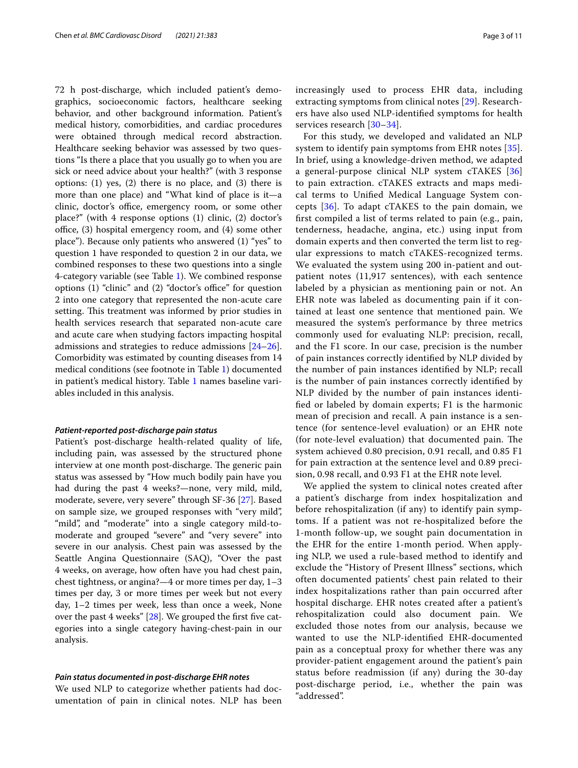72 h post-discharge, which included patient's demographics, socioeconomic factors, healthcare seeking behavior, and other background information. Patient's medical history, comorbidities, and cardiac procedures were obtained through medical record abstraction. Healthcare seeking behavior was assessed by two questions "Is there a place that you usually go to when you are sick or need advice about your health?" (with 3 response options: (1) yes, (2) there is no place, and (3) there is more than one place) and "What kind of place is it—a clinic, doctor's office, emergency room, or some other place?" (with 4 response options (1) clinic, (2) doctor's office,  $(3)$  hospital emergency room, and  $(4)$  some other place"). Because only patients who answered (1) "yes" to question 1 have responded to question 2 in our data, we combined responses to these two questions into a single 4-category variable (see Table [1](#page-4-0)). We combined response options  $(1)$  "clinic" and  $(2)$  "doctor's office" for question 2 into one category that represented the non-acute care setting. This treatment was informed by prior studies in health services research that separated non-acute care and acute care when studying factors impacting hospital admissions and strategies to reduce admissions [[24](#page-10-21)[–26](#page-10-22)]. Comorbidity was estimated by counting diseases from 14 medical conditions (see footnote in Table [1](#page-4-0)) documented in patient's medical history. Table [1](#page-4-0) names baseline variables included in this analysis.

#### *Patient‑reported post‑discharge pain status*

Patient's post-discharge health-related quality of life, including pain, was assessed by the structured phone interview at one month post-discharge. The generic pain status was assessed by "How much bodily pain have you had during the past 4 weeks?—none, very mild, mild, moderate, severe, very severe" through SF-36 [\[27](#page-10-23)]. Based on sample size, we grouped responses with "very mild", "mild", and "moderate" into a single category mild-tomoderate and grouped "severe" and "very severe" into severe in our analysis. Chest pain was assessed by the Seattle Angina Questionnaire (SAQ), "Over the past 4 weeks, on average, how often have you had chest pain, chest tightness, or angina?—4 or more times per day, 1–3 times per day, 3 or more times per week but not every day, 1–2 times per week, less than once a week, None over the past 4 weeks"  $[28]$  $[28]$ . We grouped the first five categories into a single category having-chest-pain in our analysis.

#### *Pain status documented in post‑discharge EHR notes*

We used NLP to categorize whether patients had documentation of pain in clinical notes. NLP has been increasingly used to process EHR data, including extracting symptoms from clinical notes [[29](#page-11-1)]. Researchers have also used NLP-identifed symptoms for health services research [[30](#page-11-2)[–34](#page-11-3)].

For this study, we developed and validated an NLP system to identify pain symptoms from EHR notes [[35](#page-11-4)]. In brief, using a knowledge-driven method, we adapted a general-purpose clinical NLP system cTAKES [\[36](#page-11-5)] to pain extraction. cTAKES extracts and maps medical terms to Unifed Medical Language System concepts [[36](#page-11-5)]. To adapt cTAKES to the pain domain, we frst compiled a list of terms related to pain (e.g., pain, tenderness, headache, angina, etc.) using input from domain experts and then converted the term list to regular expressions to match cTAKES-recognized terms. We evaluated the system using 200 in-patient and outpatient notes (11,917 sentences), with each sentence labeled by a physician as mentioning pain or not. An EHR note was labeled as documenting pain if it contained at least one sentence that mentioned pain. We measured the system's performance by three metrics commonly used for evaluating NLP: precision, recall, and the F1 score. In our case, precision is the number of pain instances correctly identifed by NLP divided by the number of pain instances identifed by NLP; recall is the number of pain instances correctly identifed by NLP divided by the number of pain instances identifed or labeled by domain experts; F1 is the harmonic mean of precision and recall. A pain instance is a sentence (for sentence-level evaluation) or an EHR note (for note-level evaluation) that documented pain. The system achieved 0.80 precision, 0.91 recall, and 0.85 F1 for pain extraction at the sentence level and 0.89 precision, 0.98 recall, and 0.93 F1 at the EHR note level.

We applied the system to clinical notes created after a patient's discharge from index hospitalization and before rehospitalization (if any) to identify pain symptoms. If a patient was not re-hospitalized before the 1-month follow-up, we sought pain documentation in the EHR for the entire 1-month period. When applying NLP, we used a rule-based method to identify and exclude the "History of Present Illness" sections, which often documented patients' chest pain related to their index hospitalizations rather than pain occurred after hospital discharge. EHR notes created after a patient's rehospitalization could also document pain. We excluded those notes from our analysis, because we wanted to use the NLP-identifed EHR-documented pain as a conceptual proxy for whether there was any provider-patient engagement around the patient's pain status before readmission (if any) during the 30-day post-discharge period, i.e., whether the pain was "addressed".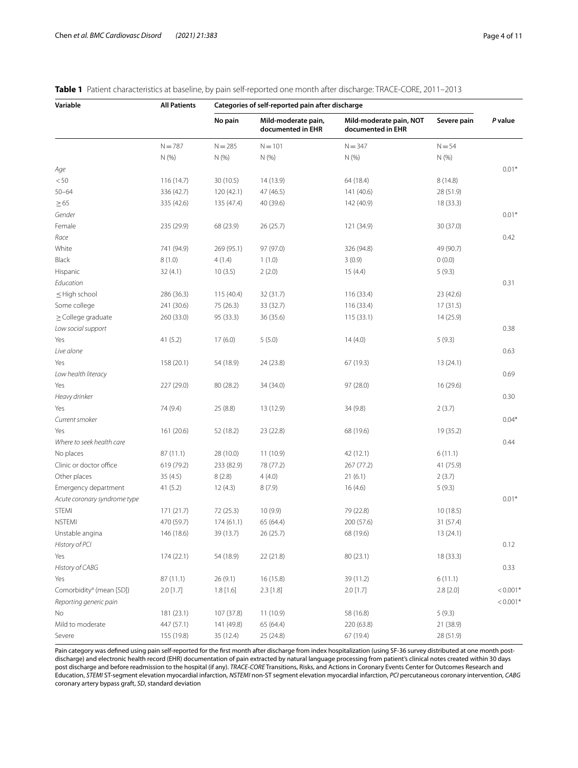| Variable           | <b>All Patients</b> | Categories of self-reported pain after discharge |                                          |                                              |             |         |
|--------------------|---------------------|--------------------------------------------------|------------------------------------------|----------------------------------------------|-------------|---------|
|                    |                     | No pain                                          | Mild-moderate pain,<br>documented in EHR | Mild-moderate pain, NOT<br>documented in EHR | Severe pain | P value |
|                    | $N = 787$           | $N = 285$                                        | $N = 101$                                | $N = 347$                                    | $N = 54$    |         |
|                    | N(%                 | N(%                                              | N(% )                                    | N(%                                          | N(% )       |         |
| Age                |                     |                                                  |                                          |                                              |             | $0.01*$ |
| < 50               | 116(14.7)           | 30(10.5)                                         | 14 (13.9)                                | 64 (18.4)                                    | 8(14.8)     |         |
| $50 - 64$          | 336 (42.7)          | 120(42.1)                                        | 47 (46.5)                                | 141 (40.6)                                   | 28 (51.9)   |         |
| $\geq 65$          | 335 (42.6)          | 135 (47.4)                                       | 40 (39.6)                                | 142 (40.9)                                   | 18 (33.3)   |         |
| Gender             |                     |                                                  |                                          |                                              |             | $0.01*$ |
| Female             | 235 (29.9)          | 68 (23.9)                                        | 26(25.7)                                 | 121 (34.9)                                   | 30 (37.0)   |         |
| Race               |                     |                                                  |                                          |                                              |             | 0.42    |
| White              | 741 (94.9)          | 269 (95.1)                                       | 97 (97.0)                                | 326 (94.8)                                   | 49 (90.7)   |         |
| Black              | 8(1.0)              | 4(1.4)                                           | 1(1.0)                                   | 3(0.9)                                       | 0(0.0)      |         |
| Hispanic           | 32(4.1)             | 10(3.5)                                          | 2(2.0)                                   | 15(4.4)                                      | 5(9.3)      |         |
| Education          |                     |                                                  |                                          |                                              |             | 0.31    |
| $\leq$ High school | 286 (36.3)          | 115(40.4)                                        | 32 (31.7)                                | 116 (33.4)                                   | 23 (42.6)   |         |
| Some college       | 241 (30.6)          | 75 (26.3)                                        | 33 (32.7)                                | 116 (33.4)                                   | 17(31.5)    |         |

#### <span id="page-4-0"></span>**Table 1** Patient characteristics at baseline, by

≥College graduate 260 (33.0) 95 (33.3) 36 (35.6) 115 (33.1) 14 (25.9)

*Low social support* 0.38  $Y$ es 69.3)  $41 (5.2)$   $17 (6.0)$   $5 (5.0)$   $14 (4.0)$   $5 (9.3)$ *Live alone* 0.63 Yes 158 (20.1) 54 (18.9) 24 (23.8) 67 (19.3) 13 (24.1) *Low health literacy* 0.69 Yes 227 (29.0) 80 (28.2) 34 (34.0) 97 (28.0) 16 (29.6) *Heavy drinker* 0.30 Yes 2(3.7) 74 (9.4) 25 (8.8) 13 (12.9) 34 (9.8) 2 (3.7) *Current smoker* 0.04\* Yes 161 (20.6) 52 (18.2) 23 (22.8) 68 (19.6) 19 (35.2) *Where to seek health care* 0.44 No places 6(11.1) 28 (10.0) 11 (10.9) 42 (12.1) 6 (11.1) Clinic or doctor office 619 (79.2) 233 (82.9) 78 (77.2) 267 (77.2) 41 (75.9) Other places 2(3.7) 35 (4.5) 8 (2.8) 4 (4.0) 21 (6.1) 2 (3.7) Emergency department 41 (5.2) 12 (4.3) 8 (7.9) 16 (4.6) 5 (9.3) Acute coronary syndrome type **0.01\*** 0.01\* STEMI 171 (21.7) 72 (25.3) 10 (9.9) 79 (22.8) 10 (22.8) 10 (18.5) NSTEMI 470 (59.7) 174 (61.1) 65 (64.4) 200 (57.6) 31 (57.4) Unstable angina 146 (18.6) 39 (13.7) 26 (25.7) 68 (19.6) 13 (24.1) *History of PCI* 0.12 Yes 174 (22.1) 54 (18.9) 22 (21.8) 80 (23.1) 18 (33.3) *History of CABG* 0.33 Yes 87 (11.1) 26 (9.1) 16 (15.8) 39 (11.2) 6 (11.1) Comorbidity<sup>a</sup> (mean [SD]) (mean [SD]) 2.0 [1.7] 1.8 [1.6] 2.3 [1.8] 2.0 [1.7] 2.8 [2.0] 2.8 [2.0] <0.001\* Reporting generic pain  $< 0.001$ <sup>\*</sup> No 181 (23.1) 107 (37.8) 11 (10.9) 58 (16.8) 5 (9.3) Mild to moderate 447 (57.1) 141 (49.8) 65 (64.4) 220 (63.8) 21 (38.9) Severe 155 (19.8) 35 (12.4) 25 (24.8) 67 (19.4) 56 (19.4) 28 (51.9)

Pain category was defned using pain self-reported for the frst month after discharge from index hospitalization (using SF-36 survey distributed at one month postdischarge) and electronic health record (EHR) documentation of pain extracted by natural language processing from patient's clinical notes created within 30 days post discharge and before readmission to the hospital (if any). *TRACE-CORE* Transitions, Risks, and Actions in Coronary Events Center for Outcomes Research and Education, *STEMI* ST-segment elevation myocardial infarction, *NSTEMI* non-ST segment elevation myocardial infarction, *PCI* percutaneous coronary intervention, *CABG* coronary artery bypass graft, *SD*, standard deviation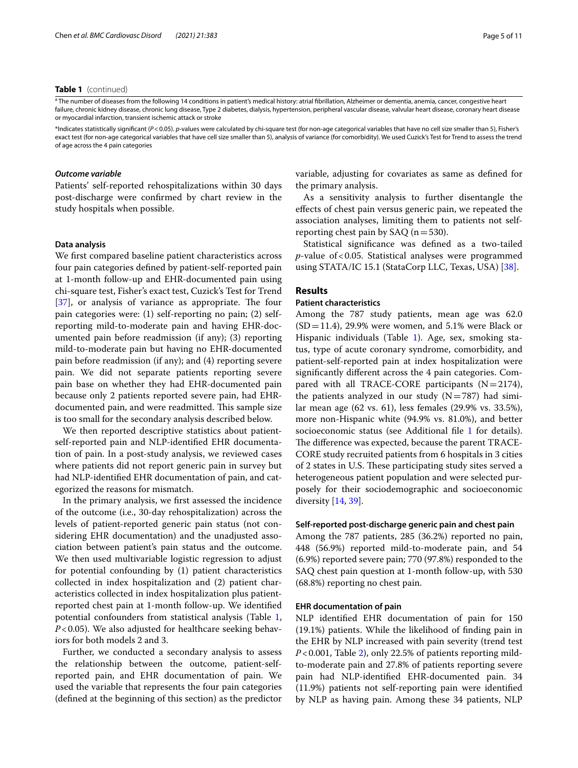#### **Table 1** (continued)

<sup>a</sup> The number of diseases from the following 14 conditions in patient's medical history: atrial fibrillation, Alzheimer or dementia, anemia, cancer, congestive heart failure, chronic kidney disease, chronic lung disease, Type 2 diabetes, dialysis, hypertension, peripheral vascular disease, valvular heart disease, coronary heart disease or myocardial infarction, transient ischemic attack or stroke

\*Indicates statistically signifcant (*P*<0.05). *p*-values were calculated by chi-square test (for non-age categorical variables that have no cell size smaller than 5), Fisher's exact test (for non-age categorical variables that have cell size smaller than 5), analysis of variance (for comorbidity). We used Cuzick's Test for Trend to assess the trend of age across the 4 pain categories

#### *Outcome variable*

Patients' self-reported rehospitalizations within 30 days post-discharge were confrmed by chart review in the study hospitals when possible.

#### **Data analysis**

We frst compared baseline patient characteristics across four pain categories defned by patient-self-reported pain at 1-month follow-up and EHR-documented pain using chi-square test, Fisher's exact test, Cuzick's Test for Trend  $[37]$  $[37]$ , or analysis of variance as appropriate. The four pain categories were: (1) self-reporting no pain; (2) selfreporting mild-to-moderate pain and having EHR-documented pain before readmission (if any); (3) reporting mild-to-moderate pain but having no EHR-documented pain before readmission (if any); and (4) reporting severe pain. We did not separate patients reporting severe pain base on whether they had EHR-documented pain because only 2 patients reported severe pain, had EHRdocumented pain, and were readmitted. This sample size is too small for the secondary analysis described below.

We then reported descriptive statistics about patientself-reported pain and NLP-identifed EHR documentation of pain. In a post-study analysis, we reviewed cases where patients did not report generic pain in survey but had NLP-identifed EHR documentation of pain, and categorized the reasons for mismatch.

In the primary analysis, we frst assessed the incidence of the outcome (i.e., 30-day rehospitalization) across the levels of patient-reported generic pain status (not considering EHR documentation) and the unadjusted association between patient's pain status and the outcome. We then used multivariable logistic regression to adjust for potential confounding by (1) patient characteristics collected in index hospitalization and (2) patient characteristics collected in index hospitalization plus patientreported chest pain at 1-month follow-up. We identifed potential confounders from statistical analysis (Table [1](#page-4-0), *P*<0.05). We also adjusted for healthcare seeking behaviors for both models 2 and 3.

Further, we conducted a secondary analysis to assess the relationship between the outcome, patient-selfreported pain, and EHR documentation of pain. We used the variable that represents the four pain categories (defned at the beginning of this section) as the predictor variable, adjusting for covariates as same as defned for the primary analysis.

As a sensitivity analysis to further disentangle the efects of chest pain versus generic pain, we repeated the association analyses, limiting them to patients not selfreporting chest pain by SAQ  $(n=530)$ .

Statistical signifcance was defned as a two-tailed *p*-value of<0.05. Statistical analyses were programmed using STATA/IC 15.1 (StataCorp LLC, Texas, USA) [\[38](#page-11-7)].

#### **Results**

#### **Patient characteristics**

Among the 787 study patients, mean age was 62.0  $(SD=11.4)$ , 29.9% were women, and 5.1% were Black or Hispanic individuals (Table [1](#page-4-0)). Age, sex, smoking status, type of acute coronary syndrome, comorbidity, and patient-self-reported pain at index hospitalization were signifcantly diferent across the 4 pain categories. Compared with all TRACE-CORE participants  $(N=2174)$ , the patients analyzed in our study  $(N=787)$  had similar mean age (62 vs. 61), less females (29.9% vs. 33.5%), more non-Hispanic white (94.9% vs. 81.0%), and better socioeconomic status (see Additional file [1](#page-9-0) for details). The difference was expected, because the parent TRACE-CORE study recruited patients from 6 hospitals in 3 cities of 2 states in U.S. These participating study sites served a heterogeneous patient population and were selected purposely for their sociodemographic and socioeconomic diversity [\[14,](#page-10-10) [39](#page-11-8)].

#### **Self-reported post-discharge generic pain and chest pain**

Among the 787 patients, 285 (36.2%) reported no pain, 448 (56.9%) reported mild-to-moderate pain, and 54 (6.9%) reported severe pain; 770 (97.8%) responded to the SAQ chest pain question at 1-month follow-up, with 530 (68.8%) reporting no chest pain.

#### **EHR documentation of pain**

NLP identifed EHR documentation of pain for 150 (19.1%) patients. While the likelihood of fnding pain in the EHR by NLP increased with pain severity (trend test *P*<0.001, Table [2\)](#page-6-0), only 22.5% of patients reporting mildto-moderate pain and 27.8% of patients reporting severe pain had NLP-identifed EHR-documented pain. 34 (11.9%) patients not self-reporting pain were identifed by NLP as having pain. Among these 34 patients, NLP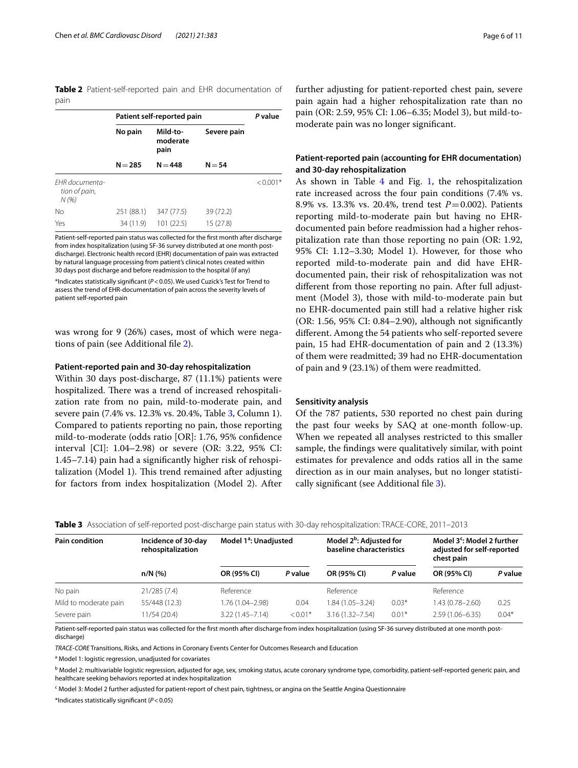<span id="page-6-0"></span>**Table 2** Patient-self-reported pain and EHR documentation of pain

|                                        | Patient self-reported pain | P value                      |             |            |  |
|----------------------------------------|----------------------------|------------------------------|-------------|------------|--|
|                                        | No pain                    | Mild-to-<br>moderate<br>pain | Severe pain |            |  |
|                                        | $N = 285$                  | $N = 448$                    | $N = 54$    |            |  |
| EHR documenta-<br>tion of pain,<br>N(% |                            |                              |             | $< 0.001*$ |  |
| No                                     | 251 (88.1)                 | 347 (77.5)                   | 39 (72.2)   |            |  |
| Yes                                    | 34 (11.9)                  | 101(22.5)                    | 15(27.8)    |            |  |

Patient-self-reported pain status was collected for the frst month after discharge from index hospitalization (using SF-36 survey distributed at one month postdischarge). Electronic health record (EHR) documentation of pain was extracted by natural language processing from patient's clinical notes created within 30 days post discharge and before readmission to the hospital (if any) \*Indicates statistically signifcant (*P*<0.05). We used Cuzick's Test for Trend to assess the trend of EHR-documentation of pain across the severity levels of

patient self-reported pain

was wrong for 9 (26%) cases, most of which were negations of pain (see Additional fle [2\)](#page-9-1).

#### **Patient-reported pain and 30-day rehospitalization**

Within 30 days post-discharge, 87 (11.1%) patients were hospitalized. There was a trend of increased rehospitalization rate from no pain, mild-to-moderate pain, and severe pain (7.4% vs. 12.3% vs. 20.4%, Table [3,](#page-6-1) Column 1). Compared to patients reporting no pain, those reporting mild-to-moderate (odds ratio [OR]: 1.76, 95% confdence interval [CI]: 1.04–2.98) or severe (OR: 3.22, 95% CI: 1.45–7.14) pain had a signifcantly higher risk of rehospitalization (Model 1). This trend remained after adjusting for factors from index hospitalization (Model 2). After

further adjusting for patient-reported chest pain, severe pain again had a higher rehospitalization rate than no pain (OR: 2.59, 95% CI: 1.06–6.35; Model 3), but mild-tomoderate pain was no longer signifcant.

#### **Patient-reported pain (accounting for EHR documentation) and 30-day rehospitalization**

As shown in Table [4](#page-7-0) and Fig. [1](#page-7-1), the rehospitalization rate increased across the four pain conditions (7.4% vs. 8.9% vs. 13.3% vs. 20.4%, trend test *P*=0.002). Patients reporting mild-to-moderate pain but having no EHRdocumented pain before readmission had a higher rehospitalization rate than those reporting no pain (OR: 1.92, 95% CI: 1.12–3.30; Model 1). However, for those who reported mild-to-moderate pain and did have EHRdocumented pain, their risk of rehospitalization was not diferent from those reporting no pain. After full adjustment (Model 3), those with mild-to-moderate pain but no EHR-documented pain still had a relative higher risk (OR: 1.56, 95% CI: 0.84–2.90), although not signifcantly diferent. Among the 54 patients who self-reported severe pain, 15 had EHR-documentation of pain and 2 (13.3%) of them were readmitted; 39 had no EHR-documentation of pain and 9 (23.1%) of them were readmitted.

#### **Sensitivity analysis**

Of the 787 patients, 530 reported no chest pain during the past four weeks by SAQ at one-month follow-up. When we repeated all analyses restricted to this smaller sample, the fndings were qualitatively similar, with point estimates for prevalence and odds ratios all in the same direction as in our main analyses, but no longer statisti-cally significant (see Additional file [3](#page-9-2)).

| <b>Pain condition</b> | Incidence of 30-day<br>rehospitalization | Model 1 <sup>a</sup> : Unadjusted |           | Model 2 <sup>b</sup> : Adjusted for<br>baseline characteristics |         | Model 3 <sup>c</sup> : Model 2 further<br>adjusted for self-reported<br>chest pain |         |
|-----------------------|------------------------------------------|-----------------------------------|-----------|-----------------------------------------------------------------|---------|------------------------------------------------------------------------------------|---------|
|                       | $n/N$ (%)                                | OR (95% CI)                       | P value   | OR (95% CI)                                                     | P value | OR (95% CI)                                                                        | P value |
| No pain               | 21/285(7.4)                              | Reference                         |           | Reference                                                       |         | Reference                                                                          |         |
| Mild to moderate pain | 55/448 (12.3)                            | 1.76 (1.04-2.98)                  | 0.04      | 1.84 (1.05-3.24)                                                | $0.03*$ | 1.43 (0.78-2.60)                                                                   | 0.25    |
| Severe pain           | 11/54(20.4)                              | $3.22(1.45 - 7.14)$               | $< 0.01*$ | $3.16(1.32 - 7.54)$                                             | $0.01*$ | $2.59(1.06 - 6.35)$                                                                | $0.04*$ |

<span id="page-6-1"></span>**Table 3** Association of self-reported post-discharge pain status with 30-day rehospitalization: TRACE-CORE, 2011–2013

Patient-self-reported pain status was collected for the frst month after discharge from index hospitalization (using SF-36 survey distributed at one month postdischarge)

*TRACE-CORE* Transitions, Risks, and Actions in Coronary Events Center for Outcomes Research and Education

<sup>a</sup> Model 1: logistic regression, unadjusted for covariates

b Model 2: multivariable logistic regression, adjusted for age, sex, smoking status, acute coronary syndrome type, comorbidity, patient-self-reported generic pain, and healthcare seeking behaviors reported at index hospitalization

<sup>c</sup> Model 3: Model 2 further adjusted for patient-report of chest pain, tightness, or angina on the Seattle Angina Questionnaire

\*Indicates statistically signifcant (*P*<0.05)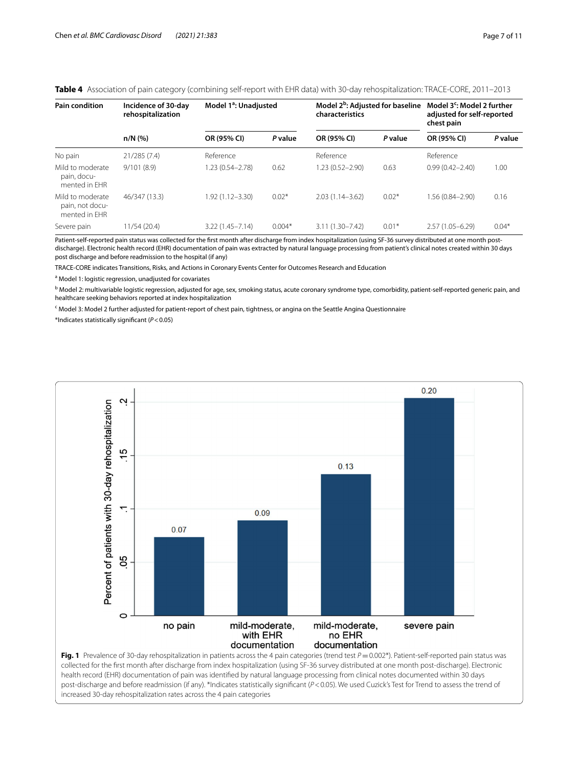#### <span id="page-7-0"></span>**Table 4** Association of pain category (combining self-report with EHR data) with 30-day rehospitalization: TRACE-CORE, 2011–2013

| Pain condition                                       | Incidence of 30-day<br>rehospitalization | Model 1 <sup>a</sup> : Unadjusted |          | Model 2 <sup>b</sup> : Adjusted for baseline<br>characteristics |         | Model $3c$ : Model 2 further<br>adjusted for self-reported<br>chest pain |         |
|------------------------------------------------------|------------------------------------------|-----------------------------------|----------|-----------------------------------------------------------------|---------|--------------------------------------------------------------------------|---------|
|                                                      | $n/N$ (%)                                | OR (95% CI)                       | P value  | OR (95% CI)                                                     | P value | OR (95% CI)                                                              | P value |
| No pain                                              | 21/285(7.4)                              | Reference                         |          | Reference                                                       |         | Reference                                                                |         |
| Mild to moderate<br>pain, docu-<br>mented in FHR     | 9/101(8.9)                               | 1.23 (0.54-2.78)                  | 0.62     | 1.23 (0.52-2.90)                                                | 0.63    | $0.99(0.42 - 2.40)$                                                      | 1.00    |
| Mild to moderate<br>pain, not docu-<br>mented in FHR | 46/347 (13.3)                            | 1.92 (1.12-3.30)                  | $0.02*$  | $2.03(1.14 - 3.62)$                                             | $0.02*$ | 1.56 (0.84-2.90)                                                         | 0.16    |
| Severe pain                                          | 11/54 (20.4)                             | $3.22(1.45 - 7.14)$               | $0.004*$ | $3.11(1.30 - 7.42)$                                             | $0.01*$ | $2.57(1.05 - 6.29)$                                                      | $0.04*$ |

Patient-self-reported pain status was collected for the frst month after discharge from index hospitalization (using SF-36 survey distributed at one month postdischarge). Electronic health record (EHR) documentation of pain was extracted by natural language processing from patient's clinical notes created within 30 days post discharge and before readmission to the hospital (if any)

TRACE-CORE indicates Transitions, Risks, and Actions in Coronary Events Center for Outcomes Research and Education

<sup>a</sup> Model 1: logistic regression, unadjusted for covariates

b Model 2: multivariable logistic regression, adjusted for age, sex, smoking status, acute coronary syndrome type, comorbidity, patient-self-reported generic pain, and healthcare seeking behaviors reported at index hospitalization

<sup>c</sup> Model 3: Model 2 further adjusted for patient-report of chest pain, tightness, or angina on the Seattle Angina Questionnaire

\*Indicates statistically signifcant (*P*<0.05)



<span id="page-7-1"></span>collected for the frst month after discharge from index hospitalization (using SF-36 survey distributed at one month post-discharge). Electronic health record (EHR) documentation of pain was identifed by natural language processing from clinical notes documented within 30 days post-discharge and before readmission (if any). \*Indicates statistically signifcant (*P*<0.05). We used Cuzick's Test for Trend to assess the trend of increased 30-day rehospitalization rates across the 4 pain categories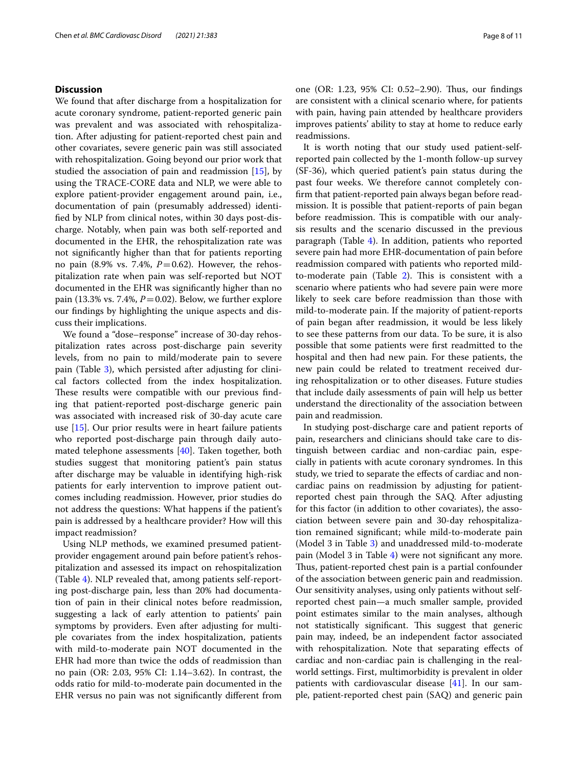#### **Discussion**

We found that after discharge from a hospitalization for acute coronary syndrome, patient-reported generic pain was prevalent and was associated with rehospitalization. After adjusting for patient-reported chest pain and other covariates, severe generic pain was still associated with rehospitalization. Going beyond our prior work that studied the association of pain and readmission [\[15](#page-10-11)], by using the TRACE-CORE data and NLP, we were able to explore patient-provider engagement around pain, i.e., documentation of pain (presumably addressed) identifed by NLP from clinical notes, within 30 days post-discharge. Notably, when pain was both self-reported and documented in the EHR, the rehospitalization rate was not signifcantly higher than that for patients reporting no pain (8.9% vs. 7.4%, *P*=0.62). However, the rehospitalization rate when pain was self-reported but NOT documented in the EHR was signifcantly higher than no pain (13.3% vs. 7.4%, *P*=0.02). Below, we further explore our fndings by highlighting the unique aspects and discuss their implications.

We found a "dose–response" increase of 30-day rehospitalization rates across post-discharge pain severity levels, from no pain to mild/moderate pain to severe pain (Table [3](#page-6-1)), which persisted after adjusting for clinical factors collected from the index hospitalization. These results were compatible with our previous finding that patient-reported post-discharge generic pain was associated with increased risk of 30-day acute care use [[15\]](#page-10-11). Our prior results were in heart failure patients who reported post-discharge pain through daily automated telephone assessments [\[40](#page-11-9)]. Taken together, both studies suggest that monitoring patient's pain status after discharge may be valuable in identifying high-risk patients for early intervention to improve patient outcomes including readmission. However, prior studies do not address the questions: What happens if the patient's pain is addressed by a healthcare provider? How will this impact readmission?

Using NLP methods, we examined presumed patientprovider engagement around pain before patient's rehospitalization and assessed its impact on rehospitalization (Table [4\)](#page-7-0). NLP revealed that, among patients self-reporting post-discharge pain, less than 20% had documentation of pain in their clinical notes before readmission, suggesting a lack of early attention to patients' pain symptoms by providers. Even after adjusting for multiple covariates from the index hospitalization, patients with mild-to-moderate pain NOT documented in the EHR had more than twice the odds of readmission than no pain (OR: 2.03, 95% CI: 1.14–3.62). In contrast, the odds ratio for mild-to-moderate pain documented in the EHR versus no pain was not signifcantly diferent from one (OR: 1.23, 95% CI: 0.52-2.90). Thus, our findings are consistent with a clinical scenario where, for patients with pain, having pain attended by healthcare providers improves patients' ability to stay at home to reduce early readmissions.

It is worth noting that our study used patient-selfreported pain collected by the 1-month follow-up survey (SF-36), which queried patient's pain status during the past four weeks. We therefore cannot completely confrm that patient-reported pain always began before readmission. It is possible that patient-reports of pain began before readmission. This is compatible with our analysis results and the scenario discussed in the previous paragraph (Table [4](#page-7-0)). In addition, patients who reported severe pain had more EHR-documentation of pain before readmission compared with patients who reported mild-to-moderate pain (Table [2](#page-6-0)). This is consistent with a scenario where patients who had severe pain were more likely to seek care before readmission than those with mild-to-moderate pain. If the majority of patient-reports of pain began after readmission, it would be less likely to see these patterns from our data. To be sure, it is also possible that some patients were frst readmitted to the hospital and then had new pain. For these patients, the new pain could be related to treatment received during rehospitalization or to other diseases. Future studies that include daily assessments of pain will help us better understand the directionality of the association between pain and readmission.

In studying post-discharge care and patient reports of pain, researchers and clinicians should take care to distinguish between cardiac and non-cardiac pain, especially in patients with acute coronary syndromes. In this study, we tried to separate the effects of cardiac and noncardiac pains on readmission by adjusting for patientreported chest pain through the SAQ. After adjusting for this factor (in addition to other covariates), the association between severe pain and 30-day rehospitalization remained signifcant; while mild-to-moderate pain (Model 3 in Table [3](#page-6-1)) and unaddressed mild-to-moderate pain (Model 3 in Table [4](#page-7-0)) were not signifcant any more. Thus, patient-reported chest pain is a partial confounder of the association between generic pain and readmission. Our sensitivity analyses, using only patients without selfreported chest pain—a much smaller sample, provided point estimates similar to the main analyses, although not statistically significant. This suggest that generic pain may, indeed, be an independent factor associated with rehospitalization. Note that separating effects of cardiac and non-cardiac pain is challenging in the realworld settings. First, multimorbidity is prevalent in older patients with cardiovascular disease [\[41](#page-11-10)]. In our sample, patient-reported chest pain (SAQ) and generic pain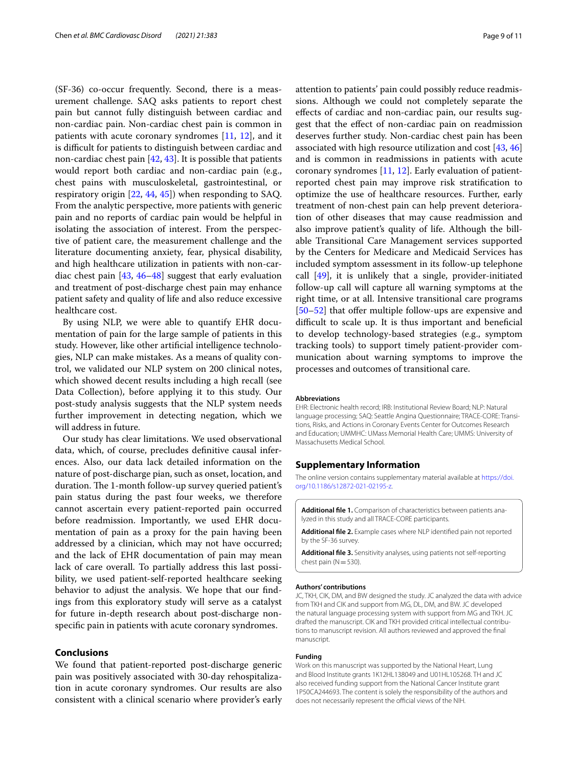(SF-36) co-occur frequently. Second, there is a measurement challenge. SAQ asks patients to report chest pain but cannot fully distinguish between cardiac and non-cardiac pain. Non-cardiac chest pain is common in patients with acute coronary syndromes [[11](#page-10-12), [12](#page-10-15)], and it is difficult for patients to distinguish between cardiac and non-cardiac chest pain [\[42,](#page-11-11) [43](#page-11-12)]. It is possible that patients would report both cardiac and non-cardiac pain (e.g., chest pains with musculoskeletal, gastrointestinal, or respiratory origin [[22,](#page-10-19) [44,](#page-11-13) [45\]](#page-11-14)) when responding to SAQ. From the analytic perspective, more patients with generic pain and no reports of cardiac pain would be helpful in isolating the association of interest. From the perspective of patient care, the measurement challenge and the literature documenting anxiety, fear, physical disability, and high healthcare utilization in patients with non-cardiac chest pain [\[43](#page-11-12), [46](#page-11-15)[–48](#page-11-16)] suggest that early evaluation and treatment of post-discharge chest pain may enhance patient safety and quality of life and also reduce excessive healthcare cost.

By using NLP, we were able to quantify EHR documentation of pain for the large sample of patients in this study. However, like other artifcial intelligence technologies, NLP can make mistakes. As a means of quality control, we validated our NLP system on 200 clinical notes, which showed decent results including a high recall (see Data Collection), before applying it to this study. Our post-study analysis suggests that the NLP system needs further improvement in detecting negation, which we will address in future.

Our study has clear limitations. We used observational data, which, of course, precludes defnitive causal inferences. Also, our data lack detailed information on the nature of post-discharge pian, such as onset, location, and duration. The 1-month follow-up survey queried patient's pain status during the past four weeks, we therefore cannot ascertain every patient-reported pain occurred before readmission. Importantly, we used EHR documentation of pain as a proxy for the pain having been addressed by a clinician, which may not have occurred; and the lack of EHR documentation of pain may mean lack of care overall. To partially address this last possibility, we used patient-self-reported healthcare seeking behavior to adjust the analysis. We hope that our fndings from this exploratory study will serve as a catalyst for future in-depth research about post-discharge nonspecifc pain in patients with acute coronary syndromes.

#### **Conclusions**

We found that patient-reported post-discharge generic pain was positively associated with 30-day rehospitalization in acute coronary syndromes. Our results are also consistent with a clinical scenario where provider's early attention to patients' pain could possibly reduce readmissions. Although we could not completely separate the efects of cardiac and non-cardiac pain, our results suggest that the efect of non-cardiac pain on readmission deserves further study. Non-cardiac chest pain has been associated with high resource utilization and cost [\[43](#page-11-12), [46](#page-11-15)] and is common in readmissions in patients with acute coronary syndromes [[11](#page-10-12), [12](#page-10-15)]. Early evaluation of patientreported chest pain may improve risk stratifcation to optimize the use of healthcare resources. Further, early treatment of non-chest pain can help prevent deterioration of other diseases that may cause readmission and also improve patient's quality of life. Although the billable Transitional Care Management services supported by the Centers for Medicare and Medicaid Services has included symptom assessment in its follow-up telephone call [[49\]](#page-11-17), it is unlikely that a single, provider-initiated follow-up call will capture all warning symptoms at the right time, or at all. Intensive transitional care programs [[50–](#page-11-18)[52\]](#page-11-19) that offer multiple follow-ups are expensive and difficult to scale up. It is thus important and beneficial to develop technology-based strategies (e.g., symptom tracking tools) to support timely patient-provider communication about warning symptoms to improve the processes and outcomes of transitional care.

#### **Abbreviations**

EHR: Electronic health record; IRB: Institutional Review Board; NLP: Natural language processing; SAQ: Seattle Angina Questionnaire; TRACE-CORE: Transitions, Risks, and Actions in Coronary Events Center for Outcomes Research and Education; UMMHC: UMass Memorial Health Care; UMMS: University of Massachusetts Medical School.

#### **Supplementary Information**

The online version contains supplementary material available at [https://doi.](https://doi.org/10.1186/s12872-021-02195-z) [org/10.1186/s12872-021-02195-z.](https://doi.org/10.1186/s12872-021-02195-z)

<span id="page-9-1"></span><span id="page-9-0"></span>**Additional fle 1.** Comparison of characteristics between patients analyzed in this study and all TRACE-CORE participants.

<span id="page-9-2"></span>**Additional fle 2.** Example cases where NLP identifed pain not reported by the SF-36 survey.

**Additional fle 3.** Sensitivity analyses, using patients not self-reporting chest pain ( $N=530$ ).

#### **Authors' contributions**

JC, TKH, CIK, DM, and BW designed the study. JC analyzed the data with advice from TKH and CIK and support from MG, DL, DM, and BW. JC developed the natural language processing system with support from MG and TKH. JC drafted the manuscript. CIK and TKH provided critical intellectual contributions to manuscript revision. All authors reviewed and approved the fnal manuscript.

#### **Funding**

Work on this manuscript was supported by the National Heart, Lung and Blood Institute grants 1K12HL138049 and U01HL105268. TH and JC also received funding support from the National Cancer Institute grant 1P50CA244693. The content is solely the responsibility of the authors and does not necessarily represent the official views of the NIH.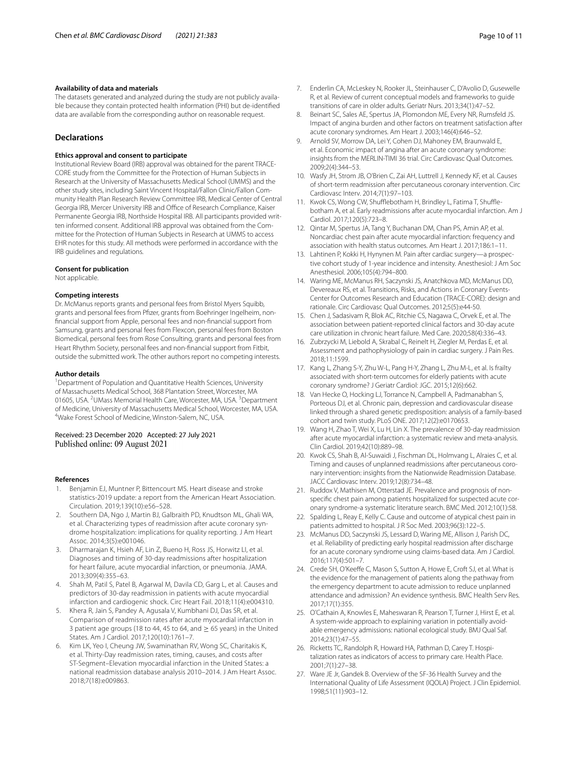#### **Availability of data and materials**

The datasets generated and analyzed during the study are not publicly available because they contain protected health information (PHI) but de-identifed data are available from the corresponding author on reasonable request.

#### **Declarations**

#### **Ethics approval and consent to participate**

Institutional Review Board (IRB) approval was obtained for the parent TRACE-CORE study from the Committee for the Protection of Human Subjects in Research at the University of Massachusetts Medical School (UMMS) and the other study sites, including Saint Vincent Hospital/Fallon Clinic/Fallon Community Health Plan Research Review Committee IRB, Medical Center of Central Georgia IRB, Mercer University IRB and Office of Research Compliance, Kaiser Permanente Georgia IRB, Northside Hospital IRB. All participants provided written informed consent. Additional IRB approval was obtained from the Committee for the Protection of Human Subjects in Research at UMMS to access EHR notes for this study. All methods were performed in accordance with the IRB guidelines and regulations.

#### **Consent for publication**

Not applicable.

#### **Competing interests**

Dr. McManus reports grants and personal fees from Bristol Myers Squibb, grants and personal fees from Pfzer, grants from Boehringer Ingelheim, nonfnancial support from Apple, personal fees and non-fnancial support from Samsung, grants and personal fees from Flexcon, personal fees from Boston Biomedical, personal fees from Rose Consulting, grants and personal fees from Heart Rhythm Society, personal fees and non-fnancial support from Fitbit, outside the submitted work. The other authors report no competing interests.

#### **Author details**

<sup>1</sup> Department of Population and Quantitative Health Sciences, University of Massachusetts Medical School, 368 Plantation Street, Worcester, MA 01605, USA. <sup>2</sup>UMass Memorial Health Care, Worcester, MA, USA. <sup>3</sup>Department of Medicine, University of Massachusetts Medical School, Worcester, MA, USA. 4 Wake Forest School of Medicine, Winston-Salem, NC, USA.

Received: 23 December 2020 Accepted: 27 July 2021 Published online: 09 August 2021

#### **References**

- <span id="page-10-0"></span>Benjamin EJ, Muntner P, Bittencourt MS. Heart disease and stroke statistics-2019 update: a report from the American Heart Association. Circulation. 2019;139(10):e56–528.
- <span id="page-10-1"></span>2. Southern DA, Ngo J, Martin BJ, Galbraith PD, Knudtson ML, Ghali WA, et al. Characterizing types of readmission after acute coronary syndrome hospitalization: implications for quality reporting. J Am Heart Assoc. 2014;3(5):e001046.
- <span id="page-10-8"></span>3. Dharmarajan K, Hsieh AF, Lin Z, Bueno H, Ross JS, Horwitz LI, et al. Diagnoses and timing of 30-day readmissions after hospitalization for heart failure, acute myocardial infarction, or pneumonia. JAMA. 2013;309(4):355–63.
- <span id="page-10-2"></span>4. Shah M, Patil S, Patel B, Agarwal M, Davila CD, Garg L, et al. Causes and predictors of 30-day readmission in patients with acute myocardial infarction and cardiogenic shock. Circ Heart Fail. 2018;11(4):e004310.
- <span id="page-10-3"></span>5. Khera R, Jain S, Pandey A, Agusala V, Kumbhani DJ, Das SR, et al. Comparison of readmission rates after acute myocardial infarction in 3 patient age groups (18 to 44, 45 to 64, and  $\geq$  65 years) in the United States. Am J Cardiol. 2017;120(10):1761–7.
- <span id="page-10-4"></span>6. Kim LK, Yeo I, Cheung JW, Swaminathan RV, Wong SC, Charitakis K, et al. Thirty-Day readmission rates, timing, causes, and costs after ST-Segment–Elevation myocardial infarction in the United States: a national readmission database analysis 2010–2014. J Am Heart Assoc. 2018;7(18):e009863.
- <span id="page-10-5"></span>7. Enderlin CA, McLeskey N, Rooker JL, Steinhauser C, D'Avolio D, Gusewelle R, et al. Review of current conceptual models and frameworks to guide transitions of care in older adults. Geriatr Nurs. 2013;34(1):47–52.
- <span id="page-10-6"></span>8. Beinart SC, Sales AE, Spertus JA, Plomondon ME, Every NR, Rumsfeld JS. Impact of angina burden and other factors on treatment satisfaction after acute coronary syndromes. Am Heart J. 2003;146(4):646–52.
- 9. Arnold SV, Morrow DA, Lei Y, Cohen DJ, Mahoney EM, Braunwald E, et al. Economic impact of angina after an acute coronary syndrome: insights from the MERLIN-TIMI 36 trial. Circ Cardiovasc Qual Outcomes. 2009;2(4):344–53.
- <span id="page-10-9"></span>10. Wasfy JH, Strom JB, O'Brien C, Zai AH, Luttrell J, Kennedy KF, et al. Causes of short-term readmission after percutaneous coronary intervention. Circ Cardiovasc Interv. 2014;7(1):97–103.
- <span id="page-10-12"></span>11. Kwok CS, Wong CW, Shufflebotham H, Brindley L, Fatima T, Shufflebotham A, et al. Early readmissions after acute myocardial infarction. Am J Cardiol. 2017;120(5):723–8.
- <span id="page-10-15"></span>12. Qintar M, Spertus JA, Tang Y, Buchanan DM, Chan PS, Amin AP, et al. Noncardiac chest pain after acute myocardial infarction: frequency and association with health status outcomes. Am Heart J. 2017;186:1–11.
- <span id="page-10-7"></span>13. Lahtinen P, Kokki H, Hynynen M. Pain after cardiac surgery—a prospective cohort study of 1-year incidence and intensity. Anesthesiol: J Am Soc Anesthesiol. 2006;105(4):794–800.
- <span id="page-10-10"></span>14. Waring ME, McManus RH, Saczynski JS, Anatchkova MD, McManus DD, Devereaux RS, et al. Transitions, Risks, and Actions in Coronary Events-Center for Outcomes Research and Education (TRACE-CORE): design and rationale. Circ Cardiovasc Qual Outcomes. 2012;5(5):e44-50.
- <span id="page-10-11"></span>15. Chen J, Sadasivam R, Blok AC, Ritchie CS, Nagawa C, Orvek E, et al. The association between patient-reported clinical factors and 30-day acute care utilization in chronic heart failure. Med Care. 2020;58(4):336–43.
- <span id="page-10-13"></span>16. Zubrzycki M, Liebold A, Skrabal C, Reinelt H, Ziegler M, Perdas E, et al. Assessment and pathophysiology of pain in cardiac surgery. J Pain Res. 2018;11:1599.
- 17. Kang L, Zhang S-Y, Zhu W-L, Pang H-Y, Zhang L, Zhu M-L, et al. Is frailty associated with short-term outcomes for elderly patients with acute coronary syndrome? J Geriatr Cardiol: JGC. 2015;12(6):662.
- <span id="page-10-14"></span>18. Van Hecke O, Hocking LJ, Torrance N, Campbell A, Padmanabhan S, Porteous DJ, et al. Chronic pain, depression and cardiovascular disease linked through a shared genetic predisposition: analysis of a family-based cohort and twin study. PLoS ONE. 2017;12(2):e0170653.
- <span id="page-10-16"></span>19. Wang H, Zhao T, Wei X, Lu H, Lin X. The prevalence of 30-day readmission after acute myocardial infarction: a systematic review and meta-analysis. Clin Cardiol. 2019;42(10):889–98.
- <span id="page-10-17"></span>20. Kwok CS, Shah B, Al-Suwaidi J, Fischman DL, Holmvang L, Alraies C, et al. Timing and causes of unplanned readmissions after percutaneous coronary intervention: insights from the Nationwide Readmission Database. JACC Cardiovasc Interv. 2019;12(8):734–48.
- <span id="page-10-18"></span>21. Ruddox V, Mathisen M, Otterstad JE. Prevalence and prognosis of nonspecifc chest pain among patients hospitalized for suspected acute coronary syndrome-a systematic literature search. BMC Med. 2012;10(1):58.
- <span id="page-10-19"></span>22. Spalding L, Reay E, Kelly C. Cause and outcome of atypical chest pain in patients admitted to hospital. J R Soc Med. 2003;96(3):122–5.
- <span id="page-10-20"></span>23. McManus DD, Saczynski JS, Lessard D, Waring ME, Allison J, Parish DC, et al. Reliability of predicting early hospital readmission after discharge for an acute coronary syndrome using claims-based data. Am J Cardiol. 2016;117(4):501–7.
- <span id="page-10-21"></span>24. Crede SH, O'Keeffe C, Mason S, Sutton A, Howe E, Croft SJ, et al. What is the evidence for the management of patients along the pathway from the emergency department to acute admission to reduce unplanned attendance and admission? An evidence synthesis. BMC Health Serv Res. 2017;17(1):355.
- 25. O'Cathain A, Knowles E, Maheswaran R, Pearson T, Turner J, Hirst E, et al. A system-wide approach to explaining variation in potentially avoidable emergency admissions: national ecological study. BMJ Qual Saf. 2014;23(1):47–55.
- <span id="page-10-22"></span>26. Ricketts TC, Randolph R, Howard HA, Pathman D, Carey T. Hospitalization rates as indicators of access to primary care. Health Place. 2001;7(1):27–38.
- <span id="page-10-23"></span>27. Ware JE Jr, Gandek B. Overview of the SF-36 Health Survey and the International Quality of Life Assessment (IQOLA) Project. J Clin Epidemiol. 1998;51(11):903–12.